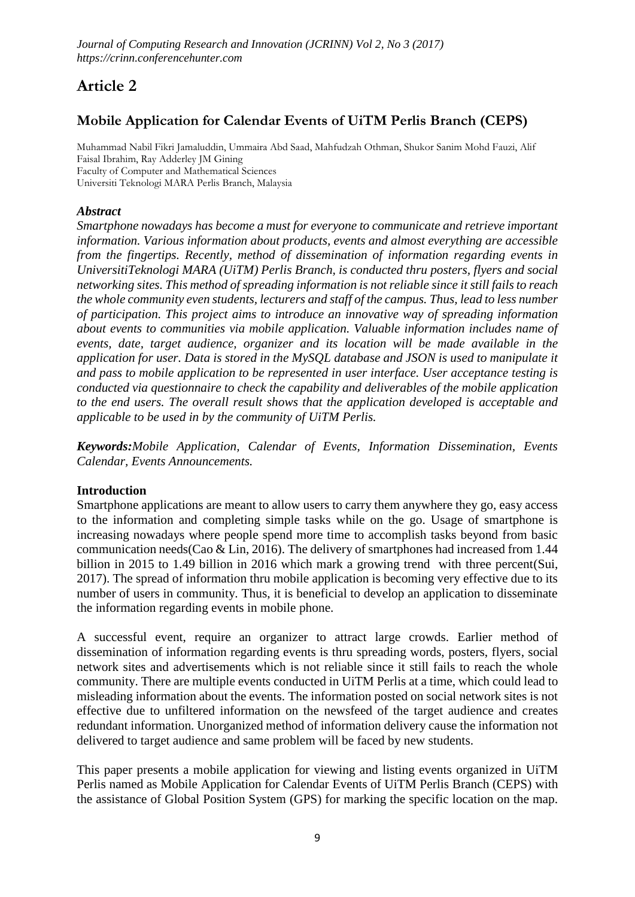# **Article 2**

# **Mobile Application for Calendar Events of UiTM Perlis Branch (CEPS)**

Muhammad Nabil Fikri Jamaluddin, Ummaira Abd Saad, Mahfudzah Othman, Shukor Sanim Mohd Fauzi, Alif Faisal Ibrahim, Ray Adderley JM Gining Faculty of Computer and Mathematical Sciences Universiti Teknologi MARA Perlis Branch, Malaysia

# *Abstract*

*Smartphone nowadays has become a must for everyone to communicate and retrieve important information. Various information about products, events and almost everything are accessible from the fingertips. Recently, method of dissemination of information regarding events in UniversitiTeknologi MARA (UiTM) Perlis Branch, is conducted thru posters, flyers and social networking sites. This method of spreading information is not reliable since it still fails to reach the whole community even students, lecturers and staff of the campus. Thus, lead to less number of participation. This project aims to introduce an innovative way of spreading information about events to communities via mobile application. Valuable information includes name of events, date, target audience, organizer and its location will be made available in the application for user. Data is stored in the MySQL database and JSON is used to manipulate it and pass to mobile application to be represented in user interface. User acceptance testing is conducted via questionnaire to check the capability and deliverables of the mobile application to the end users. The overall result shows that the application developed is acceptable and applicable to be used in by the community of UiTM Perlis.*

*Keywords:Mobile Application, Calendar of Events, Information Dissemination, Events Calendar, Events Announcements.*

# **Introduction**

Smartphone applications are meant to allow users to carry them anywhere they go, easy access to the information and completing simple tasks while on the go. Usage of smartphone is increasing nowadays where people spend more time to accomplish tasks beyond from basic communication needs(Cao & Lin, 2016). The delivery of smartphones had increased from 1.44 billion in 2015 to 1.49 billion in 2016 which mark a growing trend with three percent(Sui, 2017). The spread of information thru mobile application is becoming very effective due to its number of users in community. Thus, it is beneficial to develop an application to disseminate the information regarding events in mobile phone.

A successful event, require an organizer to attract large crowds. Earlier method of dissemination of information regarding events is thru spreading words, posters, flyers, social network sites and advertisements which is not reliable since it still fails to reach the whole community. There are multiple events conducted in UiTM Perlis at a time, which could lead to misleading information about the events. The information posted on social network sites is not effective due to unfiltered information on the newsfeed of the target audience and creates redundant information. Unorganized method of information delivery cause the information not delivered to target audience and same problem will be faced by new students.

This paper presents a mobile application for viewing and listing events organized in UiTM Perlis named as Mobile Application for Calendar Events of UiTM Perlis Branch (CEPS) with the assistance of Global Position System (GPS) for marking the specific location on the map.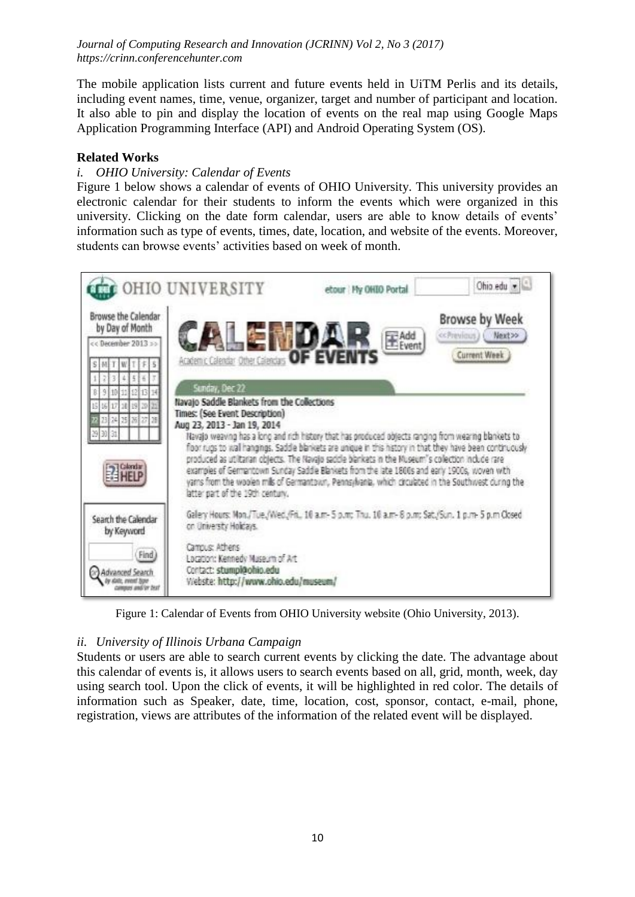The mobile application lists current and future events held in UiTM Perlis and its details, including event names, time, venue, organizer, target and number of participant and location. It also able to pin and display the location of events on the real map using Google Maps Application Programming Interface (API) and Android Operating System (OS).

#### **Related Works**

#### *i. OHIO University: Calendar of Events*

Figure 1 below shows a calendar of events of OHIO University. This university provides an electronic calendar for their students to inform the events which were organized in this university. Clicking on the date form calendar, users are able to know details of events' information such as type of events, times, date, location, and website of the events. Moreover, students can browse events' activities based on week of month.



Figure 1: Calendar of Events from OHIO University website (Ohio University, 2013).

#### *ii. University of Illinois Urbana Campaign*

Students or users are able to search current events by clicking the date. The advantage about this calendar of events is, it allows users to search events based on all, grid, month, week, day using search tool. Upon the click of events, it will be highlighted in red color. The details of information such as Speaker, date, time, location, cost, sponsor, contact, e-mail, phone, registration, views are attributes of the information of the related event will be displayed.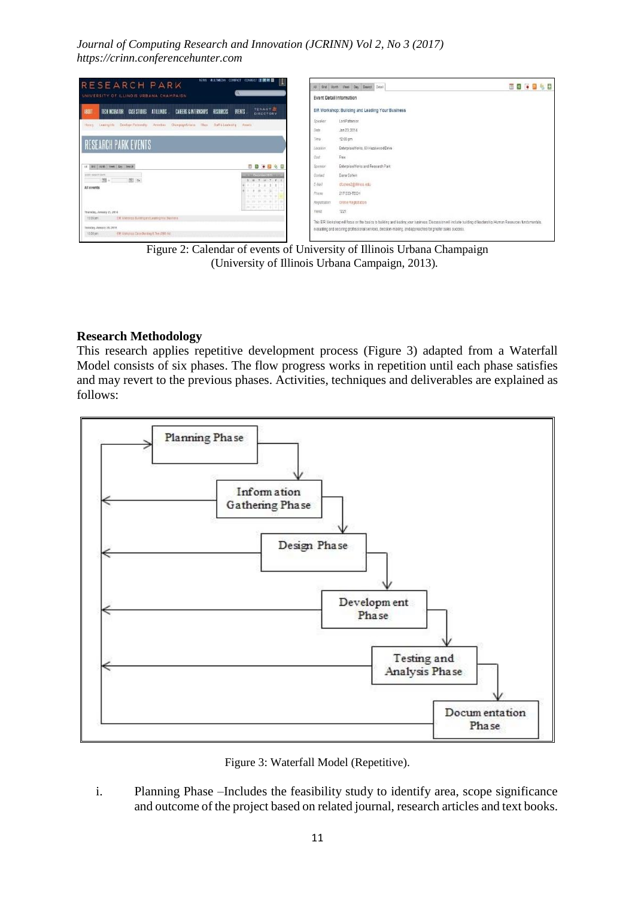

Figure 2: Calendar of events of University of Illinois Urbana Champaign (University of Illinois Urbana Campaign, 2013)*.*

#### **Research Methodology**

This research applies repetitive development process (Figure 3) adapted from a Waterfall Model consists of six phases. The flow progress works in repetition until each phase satisfies and may revert to the previous phases. Activities, techniques and deliverables are explained as follows:



Figure 3: Waterfall Model (Repetitive).

i. Planning Phase –Includes the feasibility study to identify area, scope significance and outcome of the project based on related journal, research articles and text books.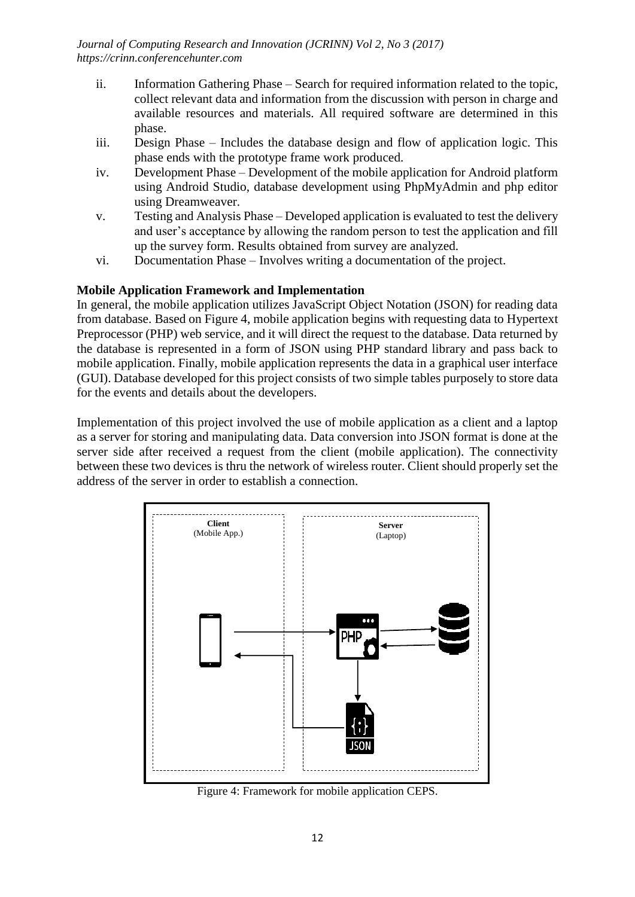- ii. Information Gathering Phase Search for required information related to the topic, collect relevant data and information from the discussion with person in charge and available resources and materials. All required software are determined in this phase.
- iii. Design Phase Includes the database design and flow of application logic. This phase ends with the prototype frame work produced.
- iv. Development Phase Development of the mobile application for Android platform using Android Studio, database development using PhpMyAdmin and php editor using Dreamweaver.
- v. Testing and Analysis Phase Developed application is evaluated to test the delivery and user's acceptance by allowing the random person to test the application and fill up the survey form. Results obtained from survey are analyzed.
- vi. Documentation Phase Involves writing a documentation of the project.

#### **Mobile Application Framework and Implementation**

In general, the mobile application utilizes JavaScript Object Notation (JSON) for reading data from database. Based on Figure 4, mobile application begins with requesting data to Hypertext Preprocessor (PHP) web service, and it will direct the request to the database. Data returned by the database is represented in a form of JSON using PHP standard library and pass back to mobile application. Finally, mobile application represents the data in a graphical user interface (GUI). Database developed for this project consists of two simple tables purposely to store data for the events and details about the developers.

Implementation of this project involved the use of mobile application as a client and a laptop as a server for storing and manipulating data. Data conversion into JSON format is done at the server side after received a request from the client (mobile application). The connectivity between these two devices is thru the network of wireless router. Client should properly set the address of the server in order to establish a connection.



Figure 4: Framework for mobile application CEPS.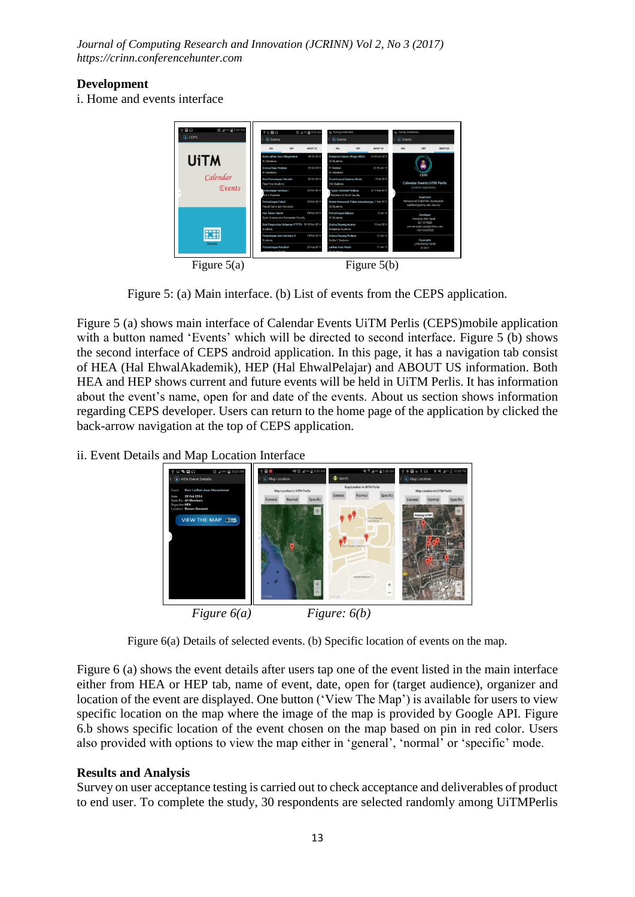#### **Development**

i. Home and events interface



Figure 5: (a) Main interface. (b) List of events from the CEPS application*.*

Figure 5 (a) shows main interface of Calendar Events UiTM Perlis (CEPS)mobile application with a button named 'Events' which will be directed to second interface. Figure 5 (b) shows the second interface of CEPS android application. In this page, it has a navigation tab consist of HEA (Hal EhwalAkademik), HEP (Hal EhwalPelajar) and ABOUT US information. Both HEA and HEP shows current and future events will be held in UiTM Perlis. It has information about the event's name, open for and date of the events. About us section shows information regarding CEPS developer. Users can return to the home page of the application by clicked the back-arrow navigation at the top of CEPS application.

ii. Event Details and Map Location Interface





Figure 6 (a) shows the event details after users tap one of the event listed in the main interface either from HEA or HEP tab, name of event, date, open for (target audience), organizer and location of the event are displayed. One button ('View The Map') is available for users to view specific location on the map where the image of the map is provided by Google API. Figure 6.b shows specific location of the event chosen on the map based on pin in red color. Users also provided with options to view the map either in 'general', 'normal' or 'specific' mode.

# **Results and Analysis**

Survey on user acceptance testing is carried out to check acceptance and deliverables of product to end user. To complete the study, 30 respondents are selected randomly among UiTMPerlis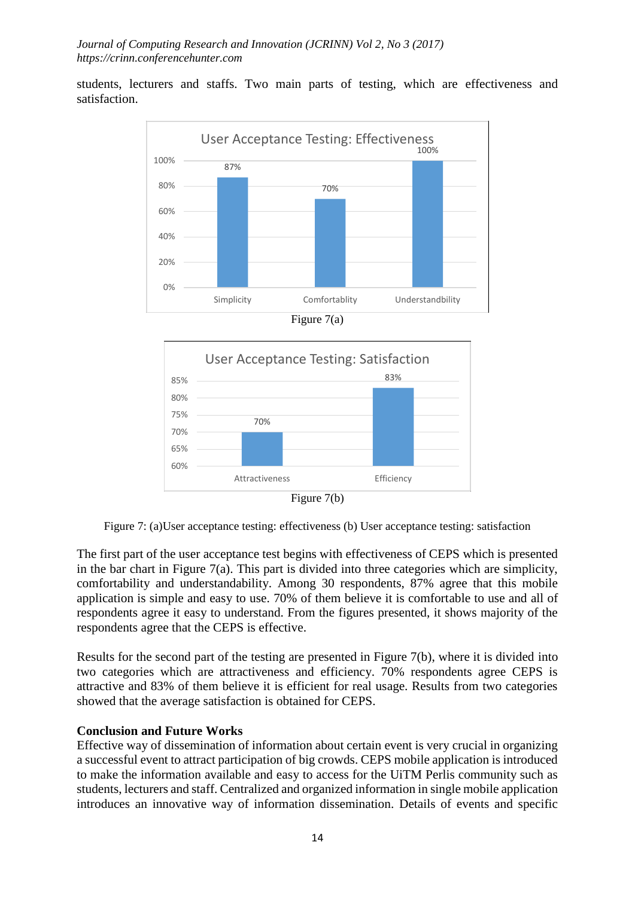students, lecturers and staffs. Two main parts of testing, which are effectiveness and satisfaction.



Figure 7(a)



Figure 7: (a)User acceptance testing: effectiveness (b) User acceptance testing: satisfaction

The first part of the user acceptance test begins with effectiveness of CEPS which is presented in the bar chart in Figure  $7(a)$ . This part is divided into three categories which are simplicity, comfortability and understandability. Among 30 respondents, 87% agree that this mobile application is simple and easy to use. 70% of them believe it is comfortable to use and all of respondents agree it easy to understand. From the figures presented, it shows majority of the respondents agree that the CEPS is effective.

Results for the second part of the testing are presented in Figure 7(b), where it is divided into two categories which are attractiveness and efficiency. 70% respondents agree CEPS is attractive and 83% of them believe it is efficient for real usage. Results from two categories showed that the average satisfaction is obtained for CEPS.

# **Conclusion and Future Works**

Effective way of dissemination of information about certain event is very crucial in organizing a successful event to attract participation of big crowds. CEPS mobile application is introduced to make the information available and easy to access for the UiTM Perlis community such as students, lecturers and staff. Centralized and organized information in single mobile application introduces an innovative way of information dissemination. Details of events and specific